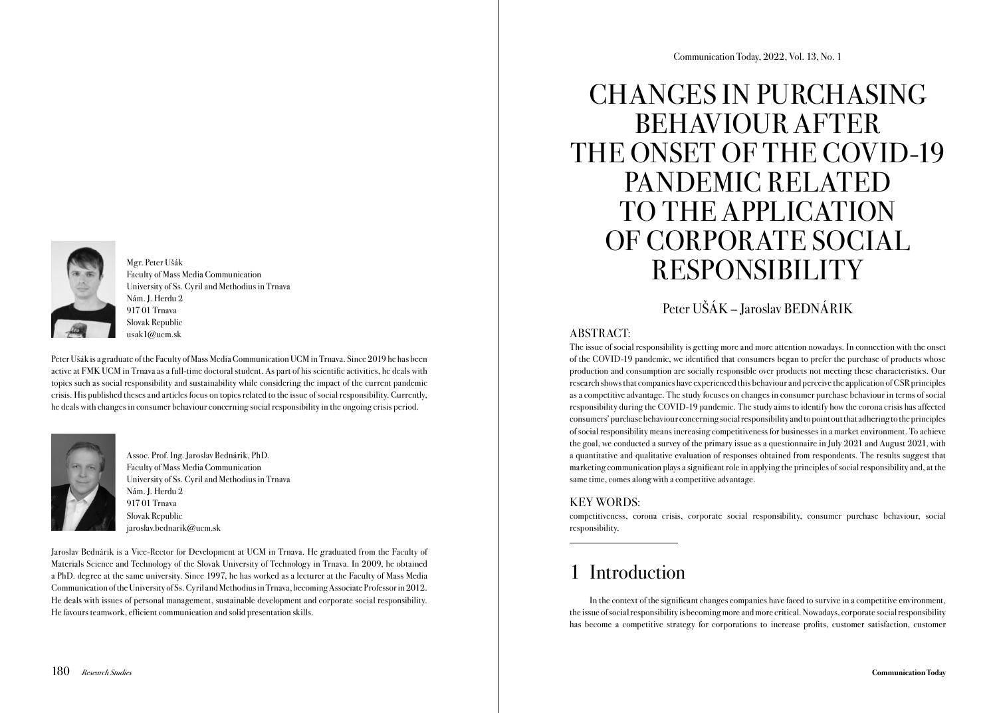

Mgr. Peter Ušák Faculty of Mass Media Communication University of Ss. Cyril and Methodius in Trnava Nám. J. Herdu 2 917 01 Trnava Slovak Republic usak1@ucm.sk

Peter Ušák is a graduate of the Faculty of Mass Media Communication UCM in Trnava. Since 2019 he has been active at FMK UCM in Trnava as a full-time doctoral student. As part of his scientific activities, he deals with topics such as social responsibility and sustainability while considering the impact of the current pandemic crisis. His published theses and articles focus on topics related to the issue of social responsibility. Currently, he deals with changes in consumer behaviour concerning social responsibility in the ongoing crisis period.



Assoc. Prof. Ing. Jaroslav Bednárik, PhD. Faculty of Mass Media Communication University of Ss. Cyril and Methodius in Trnava Nám. J. Herdu 2 917 01 Trnava Slovak Republic jaroslav.bednarik@ucm.sk

Jaroslav Bednárik is a Vice-Rector for Development at UCM in Trnava. He graduated from the Faculty of Materials Science and Technology of the Slovak University of Technology in Trnava. In 2009, he obtained a PhD. degree at the same university. Since 1997, he has worked as a lecturer at the Faculty of Mass Media Communication of the University of Ss. Cyril and Methodius in Trnava, becoming Associate Professor in 2012. He deals with issues of personal management, sustainable development and corporate social responsibility. He favours teamwork, efficient communication and solid presentation skills.

# CHANGES IN PURCHASING BEHAVIOUR AFTER THE ONSET OF THE COVID-19 PANDEMIC RELATED TO THE APPLICATION OF CORPORATE SOCIAL RESPONSIBILITY

### Peter UŠÁK – Jaroslav BEDNÁRIK

### ABSTRACT:

The issue of social responsibility is getting more and more attention nowadays. In connection with the onset of the COVID-19 pandemic, we identified that consumers began to prefer the purchase of products whose production and consumption are socially responsible over products not meeting these characteristics. Our research shows that companies have experienced this behaviour and perceive the application of CSR principles as a competitive advantage. The study focuses on changes in consumer purchase behaviour in terms of social responsibility during the COVID-19 pandemic. The study aims to identify how the corona crisis has affected consumers' purchase behaviour concerning social responsibility and to point out that adhering to the principles of social responsibility means increasing competitiveness for businesses in a market environment. To achieve the goal, we conducted a survey of the primary issue as a questionnaire in July 2021 and August 2021, with a quantitative and qualitative evaluation of responses obtained from respondents. The results suggest that marketing communication plays asignificant role in applying the principles of social responsibility and, at the same time, comes along with a competitive advantage.

### KEY WORDS:

competitiveness, corona crisis, corporate social responsibility, consumer purchase behaviour, social responsibility.

# 1 Introduction

In the context of the significant changes companies have faced to survive in a competitive environment, the issue of social responsibility is becoming more and more critical. Nowadays, corporate social responsibility has become a competitive strategy for corporations to increase profits, customer satisfaction, customer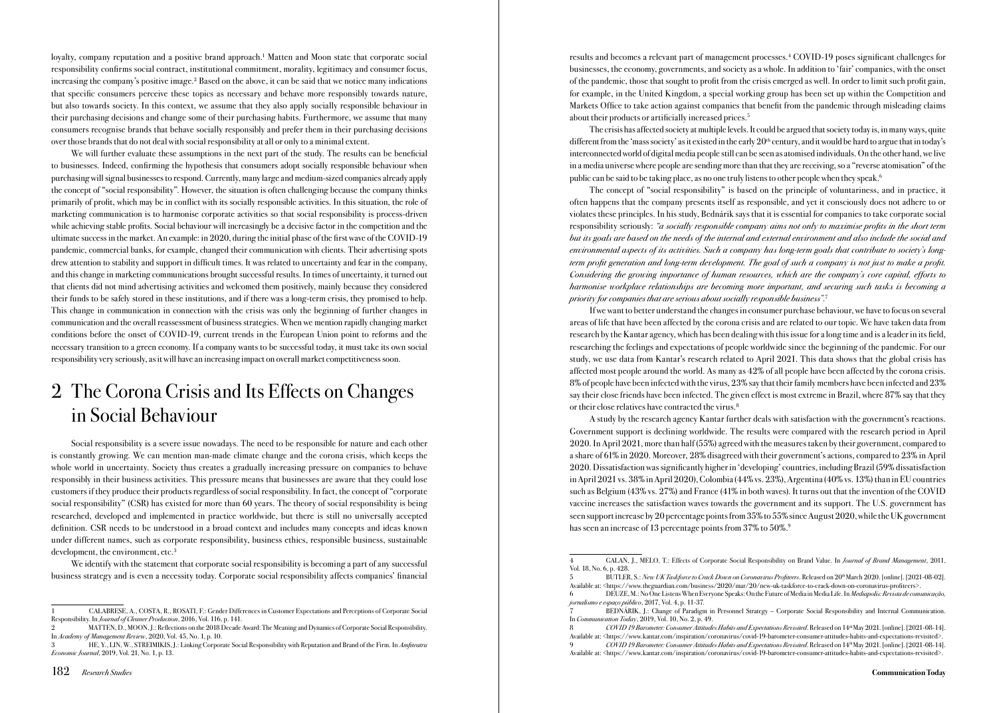loyalty, company reputation and a positive brand approach.<sup>1</sup> Matten and Moon state that corporate social responsibility confirms social contract, institutional commitment, morality, legitimacy and consumer focus, increasing the company's positive image.2 Based on the above, it can be said that we notice many indications that specific consumers perceive these topics as necessary and behave more responsibly towards nature, but also towards society. In this context, we assume that they also apply socially responsible behaviour in their purchasing decisions and change some of their purchasing habits. Furthermore, we assume that many consumers recognise brands that behave socially responsibly and prefer them in their purchasing decisions over those brands that do not deal with social responsibility at all or only to a minimal extent.

We will further evaluate these assumptions in the next part of the study. The results can be beneficial to businesses. Indeed, confirming the hypothesis that consumers adopt socially responsible behaviour when purchasing will signal businesses to respond. Currently, many large and medium-sized companies already apply the concept of "social responsibility". However, the situation is often challenging because the company thinks primarily of profit, which may be in conflict with its socially responsible activities. In this situation, the role of marketing communication is to harmonise corporate activities so that social responsibility is process-driven while achieving stable profits. Social behaviour will increasingly be a decisive factor in the competition and the ultimate success in the market. An example: in 2020, during the initial phase of the first wave of the COVID-19 pandemic, commercial banks, for example, changed their communication with clients. Their advertising spots drew attention to stability and support in difficult times. It was related to uncertainty and fear in the company, and this change in marketing communications brought successful results. In times of uncertainty, it turned out that clients did not mind advertising activities and welcomed them positively, mainly because they considered their funds to be safely stored in these institutions, and if there was a long-term crisis, they promised to help. This change in communication in connection with the crisis was only the beginning of further changes in communication and the overall reassessment of business strategies. When we mention rapidly changing market conditions before the onset of COVID-19, current trends in the European Union point to reforms and the necessary transition to a green economy. If a company wants to be successful today, it must take its own social responsibility very seriously, as it will have an increasing impact on overall market competitiveness soon.

# 2 The Corona Crisis and Its Effects on Changes in Social Behaviour

Social responsibility is a severe issue nowadays. The need to be responsible for nature and each other is constantly growing. We can mention man-made climate change and the corona crisis, which keeps the whole world in uncertainty. Society thus creates a gradually increasing pressure on companies to behave responsibly in their business activities. This pressure means that businesses are aware that they could lose customers if they produce their products regardless of social responsibility. In fact, the concept of "corporate social responsibility" (CSR) has existed for more than 60 years. The theory of social responsibility is being researched, developed and implemented in practice worldwide, but there is still no universally accepted definition. CSR needs to be understood in a broad context and includes many concepts and ideas known under different names, such as corporate responsibility, business ethics, responsible business, sustainable development, the environment, etc.<sup>3</sup>

We identify with the statement that corporate social responsibility is becoming a part of any successful business strategy and is even a necessity today. Corporate social responsibility affects companies' financial

results and becomes a relevant part of management processes.4 COVID-19 poses significant challenges for businesses, the economy, governments, and society as a whole. In addition to 'fair' companies, with the onset of the pandemic, those that sought to profit from the crisis emerged as well. In order to limit such profit gain, for example, in the United Kingdom, a special working group has been set up within the Competition and Markets Office to take action against companies that benefit from the pandemic through misleading claims about their products or artificially increased prices.<sup>5</sup>

The crisis has affected society at multiple levels. It could be argued that society today is, in many ways, quite different from the 'mass society' as it existed in the early  $20<sup>th</sup>$  century, and it would be hard to argue that in today's interconnected world of digital media people still can be seen as atomised individuals. On the other hand, we live in a media universe where people are sending more than that they are receiving, so a "reverse atomisation" of the public can be said to be taking place, as no one truly listens to other people when they speak.<sup>6</sup>

The concept of "social responsibility" is based on the principle of voluntariness, and in practice, it often happens that the company presents itself as responsible, and yet it consciously does not adhere to or violates these principles. In his study, Bednárik says that it is essential for companies to take corporate social responsibility seriously: *"a socially responsible company aims not only to maximise profits in the short term but its goals are based on the needs of the internal and external environment and also include the social and environmental aspects of its activities. Such a company has long-term goals that contribute to society's longterm profit generation and long-term development. The goal of such a company is not just to make a profit. Considering the growing importance of human resources, which are the company's core capital, efforts to harmonise workplace relationships are becoming more important, and securing such tasks is becoming a priority for companies that are serious about socially responsible business".*<sup>7</sup>

If we want to better understand the changes in consumer purchase behaviour, we have to focus on several areas of life that have been affected by the corona crisis and are related to our topic. We have taken data from research by the Kantar agency, which has been dealing with this issue for a long time and is a leader in its field, researching the feelings and expectations of people worldwide since the beginning of the pandemic. For our study, we use data from Kantar's research related to April 2021. This data shows that the global crisis has affected most people around the world. As many as 42% of all people have been affected by the corona crisis. 8% of people have been infected with the virus, 23% say that their family members have been infected and 23% say their close friends have been infected. The given effect is most extreme in Brazil, where 87% say that they or their close relatives have contracted the virus.<sup>8</sup>

A study by the research agency Kantar further deals with satisfaction with the government's reactions. Government support is declining worldwide. The results were compared with the research period in April 2020. In April 2021, more than half (55%) agreed with the measures taken by their government, compared to a share of 61% in 2020. Moreover, 28% disagreed with their government's actions, compared to 23% in April 2020. Dissatisfaction was significantly higher in 'developing' countries, including Brazil (59% dissatisfaction in April 2021 vs. 38% in April 2020), Colombia (44% vs. 23%), Argentina (40% vs. 13%) than in EU countries such as Belgium (43% vs. 27%) and France (41% in both waves). It turns out that the invention of the COVID vaccine increases the satisfaction waves towards the government and its support. The U.S. government has seen support increase by 20 percentage points from 35% to 55% since August 2020, while the UK government has seen an increase of 13 percentage points from 37% to 50%.<sup>9</sup>

Available at: <https://www.kantar.com/inspiration/coronavirus/covid-19-barometer-consumer-attitudes-habits-and-expectations-revisited>. 9 *COVID 19 Barometer: Consumer Attitudes Habits and Expectations Revisited*. Released on 14th May 2021. [online]. [2021-08-14].

<sup>1</sup> CALABRESE, A., COSTA, R., ROSATI, F.: Gender Differences in Customer Expectations and Perceptions of Corporate Social Responsibility. In *Journal of Cleaner Production*, 2016, Vol. 116, p. 141.

<sup>2</sup> MATTEN, D., MOON, J.: Reflections on the 2018 Decade Award: The Meaning and Dynamics of Corporate Social Responsibility. In *Academy of Management Review*, 2020, Vol. 45, No. 1, p. 10.

<sup>3</sup> HE, Y., LIN, W., STREIMIKIS, J.: Linking Corporate Social Responsibility with Reputation and Brand of the Firm. In *Amfiteatru Economic Journal*, 2019, Vol. 21, No. 1, p. 13.

<sup>4</sup> GALAN, J., MELO, T.: Effects of Corporate Social Responsibility on Brand Value. In *Journal of Brand Management*, 2011, Vol. 18, No. 6, p. 428.

<sup>5</sup> BUTLER, S.: *New UK Taskforce to Crack Down on Coronavirus Profiteers*. Released on 20th March 2020. [online]. [2021-08-02]. Available at: <[https://www.theguardian.com/business/2020/mar/20/new-uk-taskforce-to-crack-down-on-coronavirus-profiteers>.](https://www.theguardian.com/business/2020/mar/20/new-uk-taskforce-to-crack-down-on-coronavirus-profiteers%20)

<sup>6</sup> DEUZE, M.: No One Listens When Everyone Speaks: On the Future of Media in Media Life. In *Mediapolis: Revista de comunicação, jornalismo e espaço público*, 2017, Vol. 4, p. 11-37.

<sup>7</sup> BEDNÁRIK, J.: Change of Paradigm in Personnel Strategy – Corporate Social Responsibility and Internal Communication. In *Communication Today*, 2019, Vol. 10, No. 2, p. 49.

<sup>8</sup> *COVID 19 Barometer: Consumer Attitudes Habits and Expectations Revisited*. Released on 14th May 2021. [online]. [2021-08-14].

Available at: <https://www.kantar.com/inspiration/coronavirus/covid-19-barometer-consumer-attitudes-habits-and-expectations-revisited>.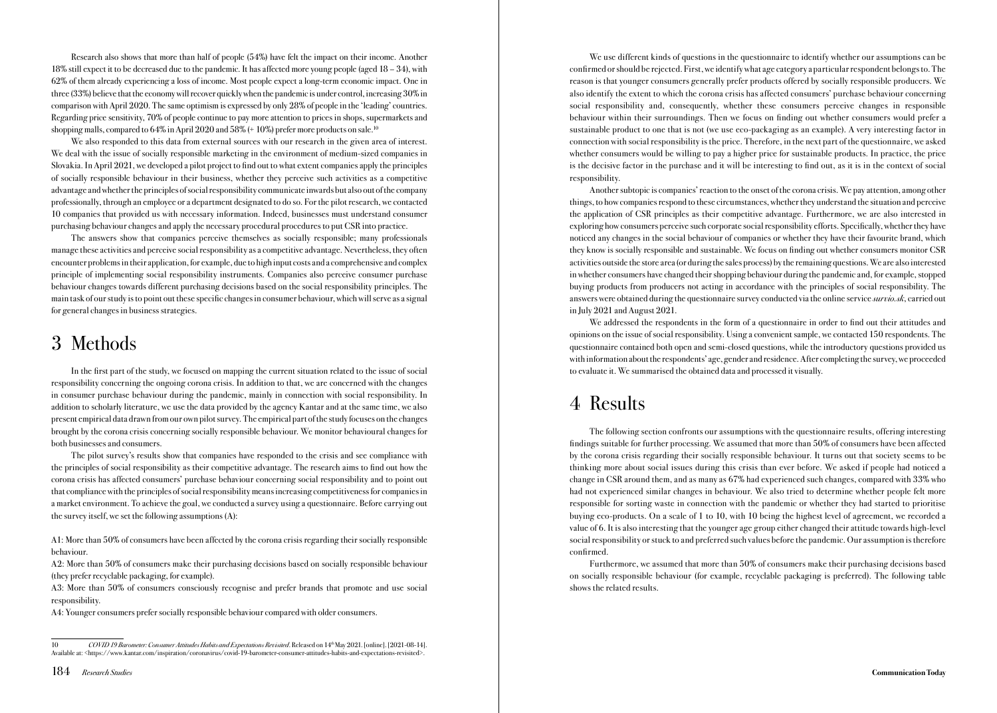Research also shows that more than half of people (54%) have felt the impact on their income. Another 18% still expect it to be decreased due to the pandemic. It has affected more young people (aged 18 – 34), with 62% of them already experiencing a loss of income. Most people expect a long-term economic impact. One in three (33%) believe that the economy will recover quickly when the pandemic is under control, increasing 30% in comparison with April 2020. The same optimism is expressed by only 28% of people in the 'leading' countries. Regarding price sensitivity, 70% of people continue to pay more attention to prices in shops, supermarkets and shopping malls, compared to 64% in April 2020 and 58% (+10%) prefer more products on sale.<sup>10</sup>

We also responded to this data from external sources with our research in the given area of interest. We deal with the issue of socially responsible marketing in the environment of medium-sized companies in Slovakia. In April 2021, we developed a pilot project to find out to what extent companies apply the principles of socially responsible behaviour in their business, whether they perceive such activities as a competitive advantage and whether the principles of social responsibility communicate inwards but also out of the company professionally, through an employee or a department designated to do so. For the pilot research, we contacted 10 companies that provided us with necessary information. Indeed, businesses must understand consumer purchasing behaviour changes and apply the necessary procedural procedures to put CSR into practice.

The answers show that companies perceive themselves as socially responsible; many professionals manage these activities and perceive social responsibility as a competitive advantage. Nevertheless, they often encounter problems in their application, for example, due to high input costs and a comprehensive and complex principle of implementing social responsibility instruments. Companies also perceive consumer purchase behaviour changes towards different purchasing decisions based on the social responsibility principles. The main task of our study is to point out these specific changes in consumer behaviour, which will serve as a signal for general changes in business strategies.

### 3 Methods

In the first part of the study, we focused on mapping the current situation related to the issue of social responsibility concerning the ongoing corona crisis. In addition to that, we are concerned with the changes in consumer purchase behaviour during the pandemic, mainly in connection with social responsibility. In addition to scholarly literature, we use the data provided by the agency Kantar and at the same time, we also present empirical data drawn from our own pilot survey. The empirical part of the study focuses on the changes brought by the corona crisis concerning socially responsible behaviour. We monitor behavioural changes for both businesses and consumers.

The pilot survey's results show that companies have responded to the crisis and see compliance with the principles of social responsibility as their competitive advantage. The research aims to find out how the corona crisis has affected consumers' purchase behaviour concerning social responsibility and to point out that compliance with the principles of social responsibility means increasing competitiveness for companies in a market environment. To achieve the goal, we conducted a survey using a questionnaire. Before carrying out the survey itself, we set the following assumptions (A):

A1: More than 50% of consumers have been affected by the corona crisis regarding their socially responsible behaviour.

A2: More than 50% of consumers make their purchasing decisions based on socially responsible behaviour (they prefer recyclable packaging, for example).

A3: More than 50% of consumers consciously recognise and prefer brands that promote and use social responsibility.

A4: Younger consumers prefer socially responsible behaviour compared with older consumers.

184 *Research Studies* Communication Today

We use different kinds of questions in the questionnaire to identify whether our assumptions can be confirmed or should be rejected. First, we identify what age category a particular respondent belongs to. The reason is that younger consumers generally prefer products offered by socially responsible producers. We also identify the extent to which the corona crisis has affected consumers' purchase behaviour concerning social responsibility and, consequently, whether these consumers perceive changes in responsible behaviour within their surroundings. Then we focus on finding out whether consumers would prefer a sustainable product to one that is not (we use eco-packaging as an example). A very interesting factor in connection with social responsibility is the price. Therefore, in the next part of the questionnaire, we asked whether consumers would be willing to pay a higher price for sustainable products. In practice, the price is the decisive factor in the purchase and it will be interesting to find out, as it is in the context of social responsibility.

Another subtopic is companies' reaction to the onset of the corona crisis. We pay attention, among other things, to how companies respond to these circumstances, whether they understand the situation and perceive the application of CSR principles as their competitive advantage. Furthermore, we are also interested in exploring how consumers perceive such corporate social responsibility efforts. Specifically, whether they have noticed any changes in the social behaviour of companies or whether they have their favourite brand, which they know is socially responsible and sustainable. We focus on finding out whether consumers monitor CSR activities outside the store area (or during the sales process) by the remaining questions. We are also interested in whether consumers have changed their shopping behaviour during the pandemic and, for example, stopped buying products from producers not acting in accordance with the principles of social responsibility. The answers were obtained during the questionnaire survey conducted via the online service *survio.sk*, carried out in July 2021 and August 2021.

We addressed the respondents in the form of a questionnaire in order to find out their attitudes and opinions on the issue of social responsibility. Using a convenient sample, we contacted 150 respondents. The questionnaire contained both open and semi-closed questions, while the introductory questions provided us with information about the respondents' age, gender and residence. After completing the survey, we proceeded to evaluate it. We summarised the obtained data and processed it visually.

## 4 Results

The following section confronts our assumptions with the questionnaire results, offering interesting findings suitable for further processing. We assumed that more than 50% of consumers have been affected by the corona crisis regarding their socially responsible behaviour. It turns out that society seems to be thinking more about social issues during this crisis than ever before. We asked if people had noticed a change in CSR around them, and as many as 67% had experienced such changes, compared with 33% who had not experienced similar changes in behaviour. We also tried to determine whether people felt more responsible for sorting waste in connection with the pandemic or whether they had started to prioritise buying eco-products. On a scale of 1 to 10, with 10 being the highest level of agreement, we recorded a value of 6. It is also interesting that the younger age group either changed their attitude towards high-level social responsibility or stuck to and preferred such values before the pandemic. Our assumption is therefore confirmed.

Furthermore, we assumed that more than 50% of consumers make their purchasing decisions based on socially responsible behaviour (for example, recyclable packaging is preferred). The following table shows the related results.

<sup>10</sup> *COVID 19 Barometer: Consumer Attitudes Habits and Expectations Revisited*. Released on 14th May 2021. [online]. [2021-08-14]. Available at: <https://www.kantar.com/inspiration/coronavirus/covid-19-barometer-consumer-attitudes-habits-and-expectations-revisited>.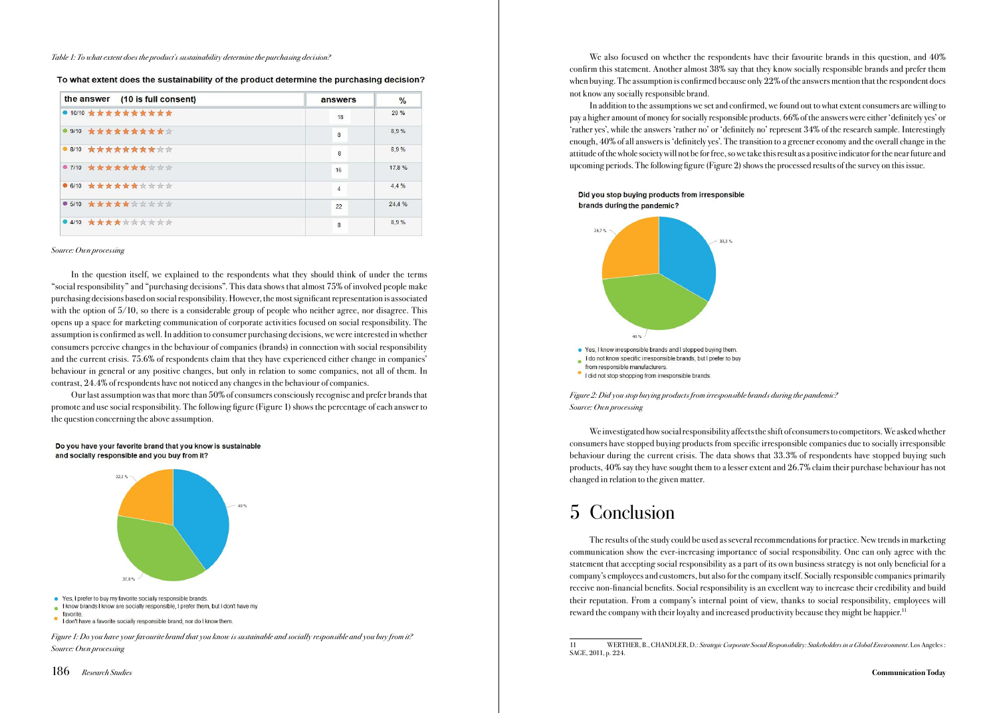*Table 1: To what extent does the product's sustainability determine the purchasing decision?*

To what extent does the sustainability of the product determine the purchasing decision?

| the answer (10 is full consent) | answers        | $\frac{0}{0}$ |
|---------------------------------|----------------|---------------|
| ● 10/10 女女女女女女女女女女              | 18             | 20%           |
| ● 9/10 ★ ★ ★ ★ ★ ★ ★ ★ ★ ☆      | 8              | 8.9%          |
| ● 8/10 ★ ★ ★ ★ ★ ★ ★ ★ ★ ☆ ☆    | 8              | 8.9%          |
| ● 7/10 ★★★★★★★☆☆☆               | 16             | 17.8%         |
| ● 6/10 ★★★★★★★☆☆☆☆              | $\overline{4}$ | 4.4%          |
| ● 5/10 ★★★★★☆☆☆☆☆               | 22             | 24.4 %        |
| ● 4/10 ★★★★★☆☆☆☆☆☆              | 8              | 8.9%          |

#### *Source: Own processing*

In the question itself, we explained to the respondents what they should think of under the terms "social responsibility" and "purchasing decisions". This data shows that almost 75% of involved people make purchasing decisions based on social responsibility. However, the most significant representation is associated with the option of  $5/10$ , so there is a considerable group of people who neither agree, nor disagree. This opens up a space for marketing communication of corporate activities focused on social responsibility. The assumption is confirmed as well. In addition to consumer purchasing decisions, we were interested in whether consumers perceive changes in the behaviour of companies (brands) in connection with social responsibility and the current crisis. 75.6% of respondents claim that they have experienced either change in companies' behaviour in general or any positive changes, but only in relation to some companies, not all of them. In contrast, 24.4% of respondents have not noticed any changes in the behaviour of companies.

Our last assumption was that more than 50% of consumers consciously recognise and prefer brands that promote and use social responsibility. The following figure (Figure 1) shows the percentage of each answer to the question concerning the above assumption.





• Yes, I prefer to buy my favorite socially responsible brands.

*Figure 1: Do you have your favourite brand that you know is sustainable and socially responsible and you buy from it? Source: Own processing*

We also focused on whether the respondents have their favourite brands in this question, and  $40\%$ confirm this statement. Another almost 38% say that they know socially responsible brands and prefer them when buying. The assumption is confirmed because only 22% of the answers mention that the respondent does not know any socially responsible brand.

In addition to the assumptions we set and confirmed, we found out to what extent consumers are willing to pay a higher amount of money for socially responsible products. 66% of the answers were either 'definitely yes' or 'rather yes', while the answers 'rather no' or 'definitely no' represent 34% of the research sample. Interestingly enough, 40% of all answers is 'definitely yes'. The transition to a greener economy and the overall change in the attitude of the whole society will not be for free, so we take this result as a positive indicator for the near future and upcoming periods. The following figure (Figure 2) shows the processed results of the survey on this issue.

Did you stop buying products from irresponsible brands during the pandemic?



*Figure 2: Did you stop buying products from irresponsible brands during the pandemic? Source: Own processing*

We investigated how social responsibility affects the shift of consumers to competitors. We asked whether consumers have stopped buying products from specific irresponsible companies due to socially irresponsible behaviour during the current crisis. The data shows that 33.3% of respondents have stopped buying such products, 40% say they have sought them to a lesser extent and 26.7% claim their purchase behaviour has not changed in relation to the given matter.

# 5 Conclusion

The results of the study could be used as several recommendations for practice. New trends in marketing communication show the ever-increasing importance of social responsibility. One can only agree with the statement that accepting social responsibility as a part of its own business strategy is not only beneficial for a company's employees and customers, but also for the company itself. Socially responsible companies primarily receive non-financial benefits. Social responsibility is an excellent way to increase their credibility and build their reputation. From a company's internal point of view, thanks to social responsibility, employees will reward the company with their loyalty and increased productivity because they might be happier.11

I know brands I know are socially responsible, I prefer them, but I don't have my favorite

I don't have a favorite socially responsible brand, nor do I know them.

<sup>11</sup> WERTHER, B., CHANDLER, D.: *Strategic Corporate Social Responsibility: Stakeholders in a Global Environment*. Los Angeles : SAGE, 2011, p. 224.